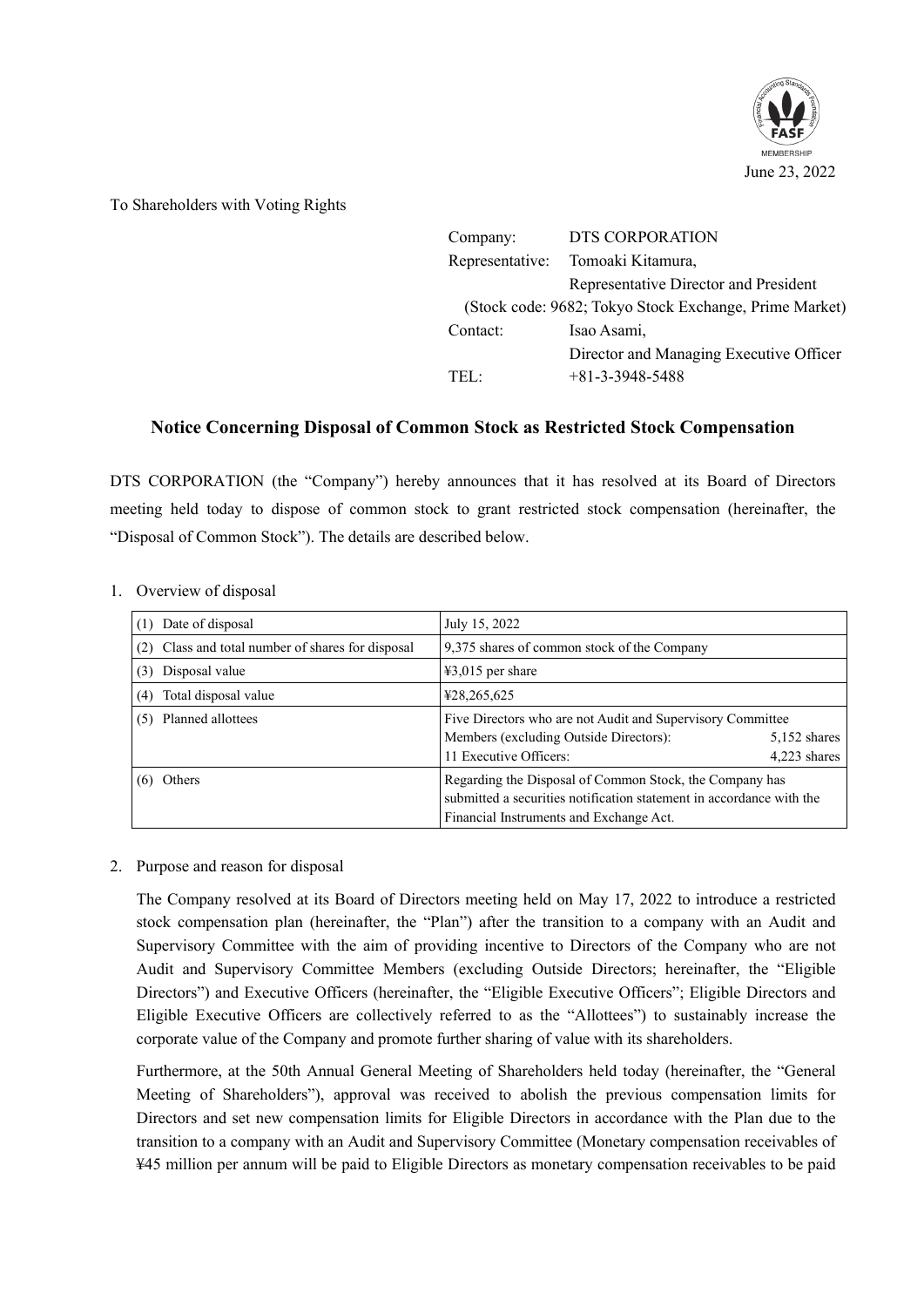

To Shareholders with Voting Rights

| DTS CORPORATION                                        |
|--------------------------------------------------------|
| Tomoaki Kitamura,                                      |
| Representative Director and President                  |
| (Stock code: 9682; Tokyo Stock Exchange, Prime Market) |
| Isao Asami,                                            |
| Director and Managing Executive Officer                |
| $+81-3-3948-5488$                                      |
|                                                        |

## **Notice Concerning Disposal of Common Stock as Restricted Stock Compensation**

DTS CORPORATION (the "Company") hereby announces that it has resolved at its Board of Directors meeting held today to dispose of common stock to grant restricted stock compensation (hereinafter, the "Disposal of Common Stock"). The details are described below.

| Date of disposal<br>(1)                           | July 15, 2022                                                                                                                                                              |                                |
|---------------------------------------------------|----------------------------------------------------------------------------------------------------------------------------------------------------------------------------|--------------------------------|
| (2) Class and total number of shares for disposal | 9,375 shares of common stock of the Company                                                                                                                                |                                |
| Disposal value<br>(3)                             | $43,015$ per share                                                                                                                                                         |                                |
| Total disposal value<br>(4)                       | ¥28,265,625                                                                                                                                                                |                                |
| Planned allottees<br>(5)                          | Five Directors who are not Audit and Supervisory Committee<br>Members (excluding Outside Directors):<br>11 Executive Officers:                                             | $5,152$ shares<br>4,223 shares |
| Others                                            | Regarding the Disposal of Common Stock, the Company has<br>submitted a securities notification statement in accordance with the<br>Financial Instruments and Exchange Act. |                                |

1. Overview of disposal

## 2. Purpose and reason for disposal

The Company resolved at its Board of Directors meeting held on May 17, 2022 to introduce a restricted stock compensation plan (hereinafter, the "Plan") after the transition to a company with an Audit and Supervisory Committee with the aim of providing incentive to Directors of the Company who are not Audit and Supervisory Committee Members (excluding Outside Directors; hereinafter, the "Eligible Directors") and Executive Officers (hereinafter, the "Eligible Executive Officers"; Eligible Directors and Eligible Executive Officers are collectively referred to as the "Allottees") to sustainably increase the corporate value of the Company and promote further sharing of value with its shareholders.

Furthermore, at the 50th Annual General Meeting of Shareholders held today (hereinafter, the "General Meeting of Shareholders"), approval was received to abolish the previous compensation limits for Directors and set new compensation limits for Eligible Directors in accordance with the Plan due to the transition to a company with an Audit and Supervisory Committee (Monetary compensation receivables of ¥45 million per annum will be paid to Eligible Directors as monetary compensation receivables to be paid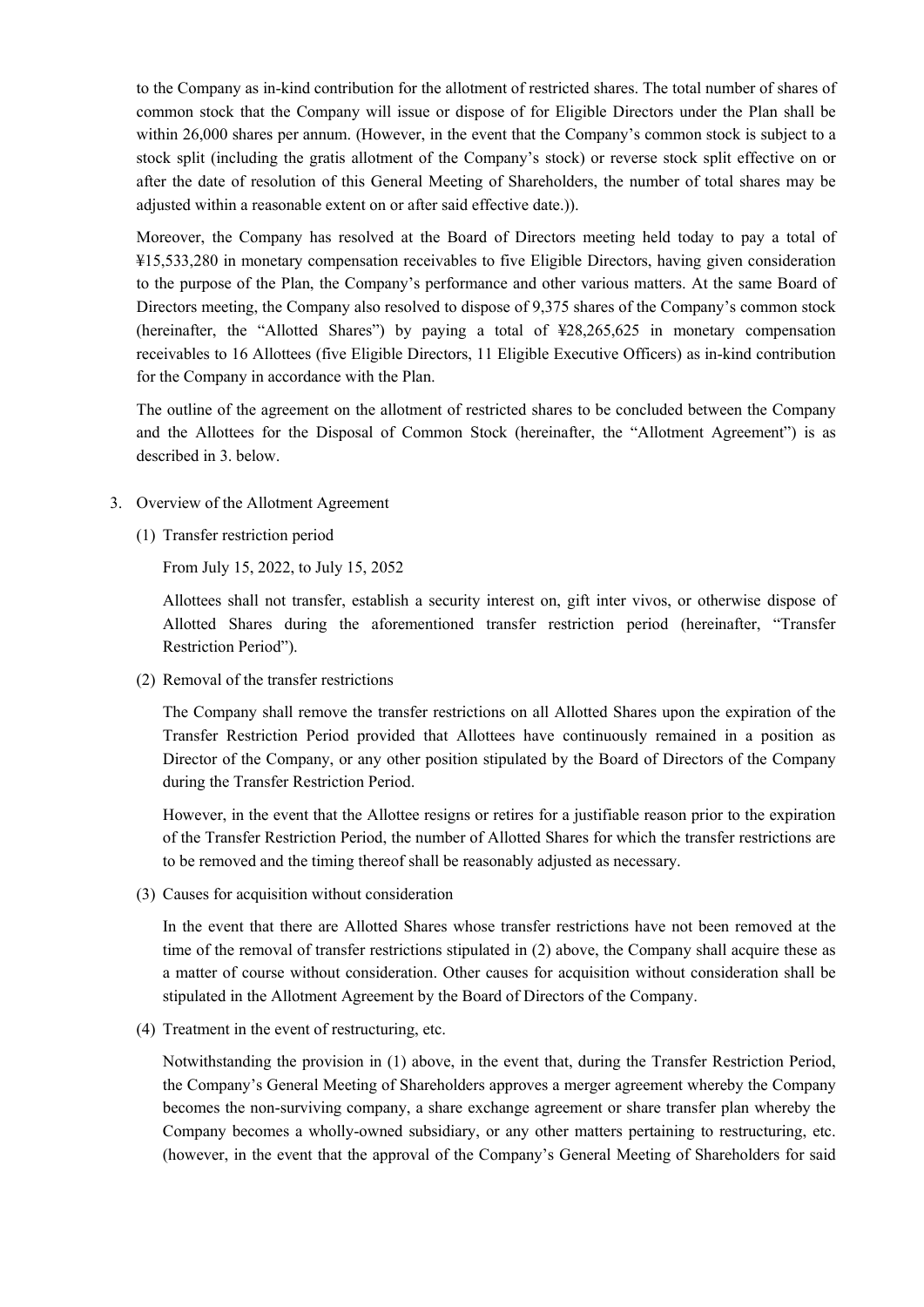to the Company as in-kind contribution for the allotment of restricted shares. The total number of shares of common stock that the Company will issue or dispose of for Eligible Directors under the Plan shall be within 26,000 shares per annum. (However, in the event that the Company's common stock is subject to a stock split (including the gratis allotment of the Company's stock) or reverse stock split effective on or after the date of resolution of this General Meeting of Shareholders, the number of total shares may be adjusted within a reasonable extent on or after said effective date.)).

Moreover, the Company has resolved at the Board of Directors meeting held today to pay a total of ¥15,533,280 in monetary compensation receivables to five Eligible Directors, having given consideration to the purpose of the Plan, the Company's performance and other various matters. At the same Board of Directors meeting, the Company also resolved to dispose of 9,375 shares of the Company's common stock (hereinafter, the "Allotted Shares") by paying a total of ¥28,265,625 in monetary compensation receivables to 16 Allottees (five Eligible Directors, 11 Eligible Executive Officers) as in-kind contribution for the Company in accordance with the Plan.

The outline of the agreement on the allotment of restricted shares to be concluded between the Company and the Allottees for the Disposal of Common Stock (hereinafter, the "Allotment Agreement") is as described in 3. below.

- 3. Overview of the Allotment Agreement
	- (1) Transfer restriction period

From July 15, 2022, to July 15, 2052

Allottees shall not transfer, establish a security interest on, gift inter vivos, or otherwise dispose of Allotted Shares during the aforementioned transfer restriction period (hereinafter, "Transfer Restriction Period").

(2) Removal of the transfer restrictions

The Company shall remove the transfer restrictions on all Allotted Shares upon the expiration of the Transfer Restriction Period provided that Allottees have continuously remained in a position as Director of the Company, or any other position stipulated by the Board of Directors of the Company during the Transfer Restriction Period.

However, in the event that the Allottee resigns or retires for a justifiable reason prior to the expiration of the Transfer Restriction Period, the number of Allotted Shares for which the transfer restrictions are to be removed and the timing thereof shall be reasonably adjusted as necessary.

(3) Causes for acquisition without consideration

In the event that there are Allotted Shares whose transfer restrictions have not been removed at the time of the removal of transfer restrictions stipulated in (2) above, the Company shall acquire these as a matter of course without consideration. Other causes for acquisition without consideration shall be stipulated in the Allotment Agreement by the Board of Directors of the Company.

(4) Treatment in the event of restructuring, etc.

Notwithstanding the provision in (1) above, in the event that, during the Transfer Restriction Period, the Company's General Meeting of Shareholders approves a merger agreement whereby the Company becomes the non-surviving company, a share exchange agreement or share transfer plan whereby the Company becomes a wholly-owned subsidiary, or any other matters pertaining to restructuring, etc. (however, in the event that the approval of the Company's General Meeting of Shareholders for said